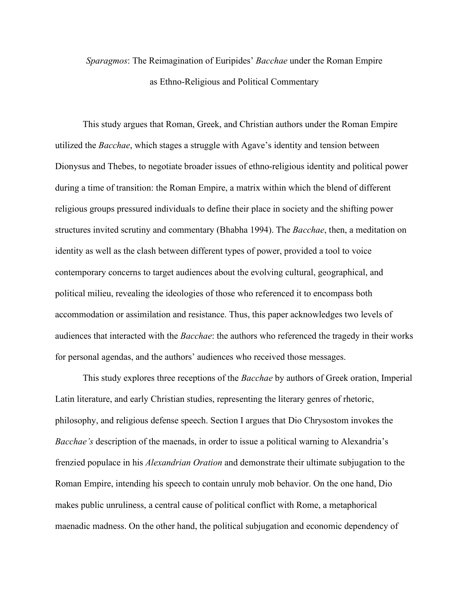## *Sparagmos*: The Reimagination of Euripides' *Bacchae* under the Roman Empire as Ethno-Religious and Political Commentary

This study argues that Roman, Greek, and Christian authors under the Roman Empire utilized the *Bacchae*, which stages a struggle with Agave's identity and tension between Dionysus and Thebes, to negotiate broader issues of ethno-religious identity and political power during a time of transition: the Roman Empire, a matrix within which the blend of different religious groups pressured individuals to define their place in society and the shifting power structures invited scrutiny and commentary (Bhabha 1994). The *Bacchae*, then, a meditation on identity as well as the clash between different types of power, provided a tool to voice contemporary concerns to target audiences about the evolving cultural, geographical, and political milieu, revealing the ideologies of those who referenced it to encompass both accommodation or assimilation and resistance. Thus, this paper acknowledges two levels of audiences that interacted with the *Bacchae*: the authors who referenced the tragedy in their works for personal agendas, and the authors' audiences who received those messages.

This study explores three receptions of the *Bacchae* by authors of Greek oration, Imperial Latin literature, and early Christian studies, representing the literary genres of rhetoric, philosophy, and religious defense speech. Section I argues that Dio Chrysostom invokes the *Bacchae's* description of the maenads, in order to issue a political warning to Alexandria's frenzied populace in his *Alexandrian Oration* and demonstrate their ultimate subjugation to the Roman Empire, intending his speech to contain unruly mob behavior. On the one hand, Dio makes public unruliness, a central cause of political conflict with Rome, a metaphorical maenadic madness. On the other hand, the political subjugation and economic dependency of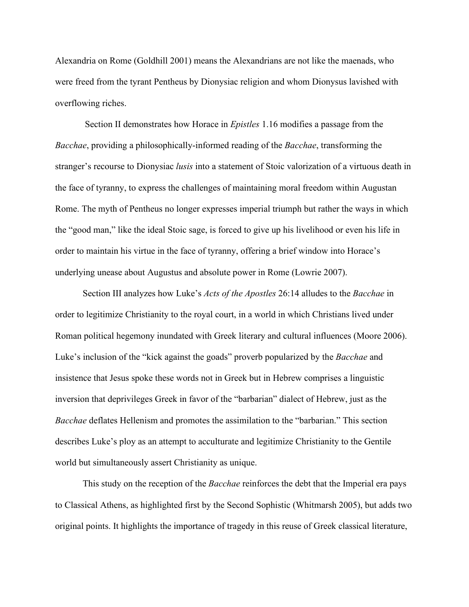Alexandria on Rome (Goldhill 2001) means the Alexandrians are not like the maenads, who were freed from the tyrant Pentheus by Dionysiac religion and whom Dionysus lavished with overflowing riches.

Section II demonstrates how Horace in *Epistles* 1.16 modifies a passage from the *Bacchae*, providing a philosophically-informed reading of the *Bacchae*, transforming the stranger's recourse to Dionysiac *lusis* into a statement of Stoic valorization of a virtuous death in the face of tyranny, to express the challenges of maintaining moral freedom within Augustan Rome. The myth of Pentheus no longer expresses imperial triumph but rather the ways in which the "good man," like the ideal Stoic sage, is forced to give up his livelihood or even his life in order to maintain his virtue in the face of tyranny, offering a brief window into Horace's underlying unease about Augustus and absolute power in Rome (Lowrie 2007).

Section III analyzes how Luke's *Acts of the Apostles* 26:14 alludes to the *Bacchae* in order to legitimize Christianity to the royal court, in a world in which Christians lived under Roman political hegemony inundated with Greek literary and cultural influences (Moore 2006). Luke's inclusion of the "kick against the goads" proverb popularized by the *Bacchae* and insistence that Jesus spoke these words not in Greek but in Hebrew comprises a linguistic inversion that deprivileges Greek in favor of the "barbarian" dialect of Hebrew, just as the *Bacchae* deflates Hellenism and promotes the assimilation to the "barbarian." This section describes Luke's ploy as an attempt to acculturate and legitimize Christianity to the Gentile world but simultaneously assert Christianity as unique.

This study on the reception of the *Bacchae* reinforces the debt that the Imperial era pays to Classical Athens, as highlighted first by the Second Sophistic (Whitmarsh 2005), but adds two original points. It highlights the importance of tragedy in this reuse of Greek classical literature,